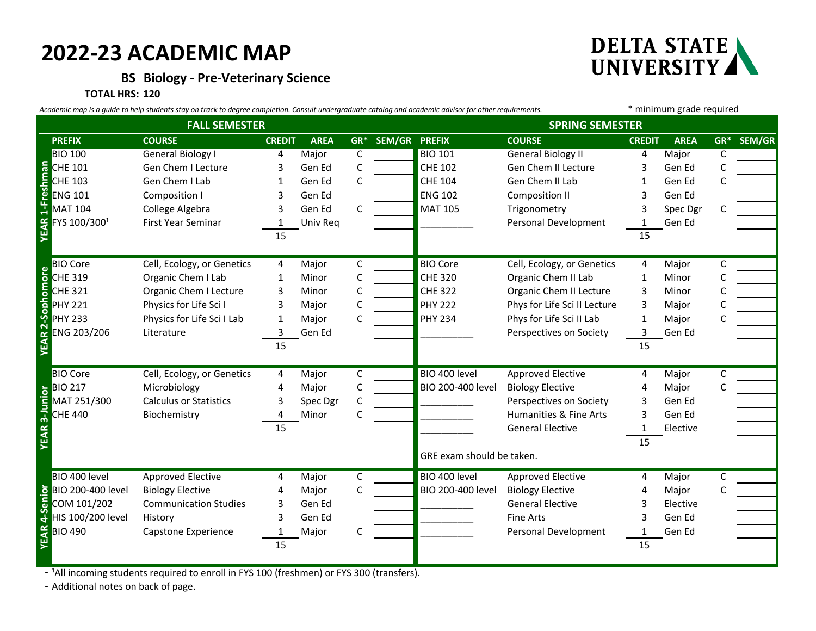## **2022-23 ACADEMIC MAP**

**BS Biology - Pre-Veterinary Science**

# DELTA STATE<br>UNIVERSITY

#### **TOTAL HRS: 120**

| Academic map is a guide to help students stay on track to degree completion. Consult undergraduate catalog and academic advisor for other requirements. |                                                                                                                          |                               |               |             |       |               |                           |                              | * minimum grade required |             |        |        |
|---------------------------------------------------------------------------------------------------------------------------------------------------------|--------------------------------------------------------------------------------------------------------------------------|-------------------------------|---------------|-------------|-------|---------------|---------------------------|------------------------------|--------------------------|-------------|--------|--------|
| <b>FALL SEMESTER</b>                                                                                                                                    |                                                                                                                          |                               |               |             |       |               | <b>SPRING SEMESTER</b>    |                              |                          |             |        |        |
|                                                                                                                                                         | <b>PREFIX</b>                                                                                                            | <b>COURSE</b>                 | <b>CREDIT</b> | <b>AREA</b> | $GR*$ | SEM/GR PREFIX |                           | <b>COURSE</b>                | <b>CREDIT</b>            | <b>AREA</b> | $GR^*$ | SEM/GR |
|                                                                                                                                                         | <b>BIO 100</b>                                                                                                           | General Biology I             | 4             | Major       | C     |               | <b>BIO 101</b>            | <b>General Biology II</b>    | 4                        | Major       | C      |        |
|                                                                                                                                                         |                                                                                                                          | Gen Chem I Lecture            | 3             | Gen Ed      | C     |               | <b>CHE 102</b>            | Gen Chem II Lecture          | 3                        | Gen Ed      |        |        |
|                                                                                                                                                         |                                                                                                                          | Gen Chem I Lab                | 1             | Gen Ed      | C     |               | <b>CHE 104</b>            | Gen Chem II Lab              | 1                        | Gen Ed      |        |        |
|                                                                                                                                                         |                                                                                                                          | <b>Composition I</b>          | З             | Gen Ed      |       |               | <b>ENG 102</b>            | <b>Composition II</b>        | 3                        | Gen Ed      |        |        |
|                                                                                                                                                         | <b>MAT 104</b>                                                                                                           | College Algebra               | 3             | Gen Ed      | C     |               | <b>MAT 105</b>            | Trigonometry                 | 3                        | Spec Dgr    |        |        |
|                                                                                                                                                         | FYS 100/3001                                                                                                             | First Year Seminar            | 1             | Univ Req    |       |               |                           | Personal Development         | 1                        | Gen Ed      |        |        |
|                                                                                                                                                         | THE 101                                                                                                                  |                               | 15            |             |       |               |                           |                              | 15                       |             |        |        |
|                                                                                                                                                         | <b>BIO Core</b>                                                                                                          | Cell, Ecology, or Genetics    | 4             | Major       | C     |               | <b>BIO Core</b>           | Cell, Ecology, or Genetics   | 4                        | Major       | С      |        |
|                                                                                                                                                         |                                                                                                                          | Organic Chem I Lab            | 1             | Minor       | C     |               | <b>CHE 320</b>            | Organic Chem II Lab          | 1                        | Minor       |        |        |
|                                                                                                                                                         |                                                                                                                          | Organic Chem I Lecture        | 3             | Minor       | C     |               | <b>CHE 322</b>            | Organic Chem II Lecture      | 3                        | Minor       |        |        |
|                                                                                                                                                         |                                                                                                                          | Physics for Life Sci I        | 3             | Major       | C     |               | <b>PHY 222</b>            | Phys for Life Sci II Lecture | 3                        | Major       |        |        |
|                                                                                                                                                         |                                                                                                                          | Physics for Life Sci I Lab    | 1             | Major       | C     |               | <b>PHY 234</b>            | Phys for Life Sci II Lab     | 1                        | Major       |        |        |
|                                                                                                                                                         | ENG 203/206                                                                                                              | Literature                    | 3             | Gen Ed      |       |               |                           | Perspectives on Society      | 3                        | Gen Ed      |        |        |
|                                                                                                                                                         | <b>BIO Core</b><br><b>CHE 319</b><br>CHE 321<br>PHY 221<br><b>VEAR 2033</b><br><b>CHE 3203</b>                           |                               | 15            |             |       |               |                           |                              | 15                       |             |        |        |
|                                                                                                                                                         | <b>BIO Core</b>                                                                                                          | Cell, Ecology, or Genetics    | 4             | Major       | C     |               | BIO 400 level             | Approved Elective            | 4                        | Major       | С      |        |
|                                                                                                                                                         | <b>BIO 217</b>                                                                                                           | Microbiology                  | 4             | Major       | C     |               | BIO 200-400 level         | <b>Biology Elective</b>      |                          | Major       |        |        |
|                                                                                                                                                         | MAT 251/300                                                                                                              | <b>Calculus or Statistics</b> | 3             | Spec Dgr    | C     |               |                           | Perspectives on Society      | 3                        | Gen Ed      |        |        |
| <b>YEAR 3-Junior</b>                                                                                                                                    | <b>CHE 440</b>                                                                                                           | Biochemistry                  | 4             | Minor       | C     |               |                           | Humanities & Fine Arts       | 3                        | Gen Ed      |        |        |
|                                                                                                                                                         |                                                                                                                          |                               | 15            |             |       |               |                           | <b>General Elective</b>      | $\mathbf{1}$             | Elective    |        |        |
|                                                                                                                                                         |                                                                                                                          |                               |               |             |       |               |                           |                              | 15                       |             |        |        |
|                                                                                                                                                         |                                                                                                                          |                               |               |             |       |               | GRE exam should be taken. |                              |                          |             |        |        |
|                                                                                                                                                         | BIO 400 level                                                                                                            | <b>Approved Elective</b>      | 4             | Major       | C     |               | BIO 400 level             | Approved Elective            | 4                        | Major       | C      |        |
|                                                                                                                                                         |                                                                                                                          | <b>Biology Elective</b>       | 4             | Major       | C     |               | BIO 200-400 level         | <b>Biology Elective</b>      | 4                        | Major       |        |        |
|                                                                                                                                                         |                                                                                                                          | <b>Communication Studies</b>  | 3             | Gen Ed      |       |               |                           | <b>General Elective</b>      | 3                        | Elective    |        |        |
|                                                                                                                                                         |                                                                                                                          | History                       | 3             | Gen Ed      |       |               |                           | Fine Arts                    | 3                        | Gen Ed      |        |        |
|                                                                                                                                                         |                                                                                                                          | Capstone Experience           | 1             | Major       | C     |               |                           | Personal Development         | 1                        | Gen Ed      |        |        |
|                                                                                                                                                         | <b>DE BIO 200-400 level</b><br><b>COM 101/202</b><br><b>COM 101/202</b><br><b>HIS 100/200 level</b><br><b>EX BIO 490</b> |                               | 15            |             |       |               |                           |                              | 15                       |             |        |        |
|                                                                                                                                                         |                                                                                                                          |                               |               |             |       |               |                           |                              |                          |             |        |        |

- <sup>1</sup>All incoming students required to enroll in FYS 100 (freshmen) or FYS 300 (transfers).

**-** Additional notes on back of page.